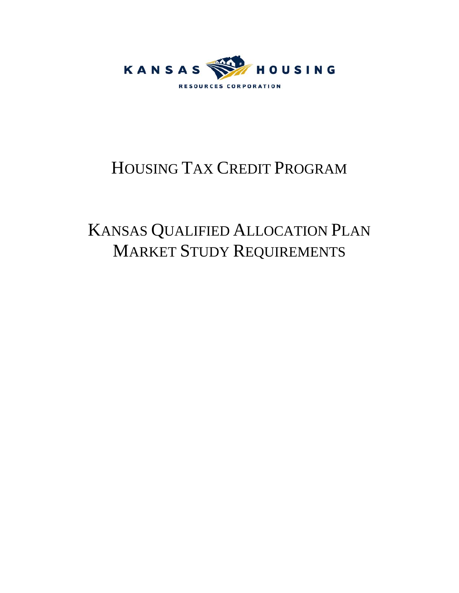

# HOUSING TAX CREDIT PROGRAM

# KANSAS QUALIFIED ALLOCATION PLAN MARKET STUDY REQUIREMENTS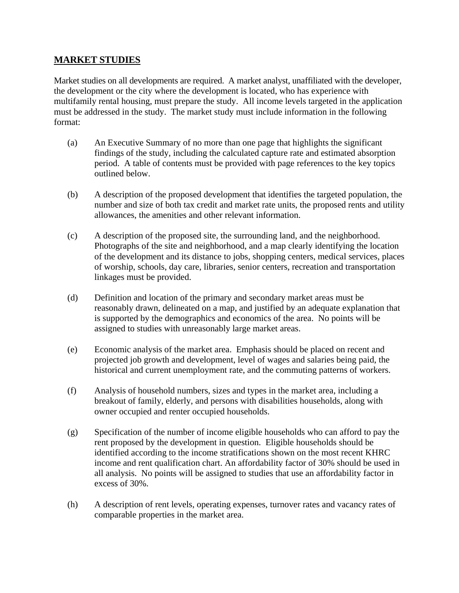# **MARKET STUDIES**

Market studies on all developments are required. A market analyst, unaffiliated with the developer, the development or the city where the development is located, who has experience with multifamily rental housing, must prepare the study. All income levels targeted in the application must be addressed in the study. The market study must include information in the following format:

- (a) An Executive Summary of no more than one page that highlights the significant findings of the study, including the calculated capture rate and estimated absorption period. A table of contents must be provided with page references to the key topics outlined below.
- (b) A description of the proposed development that identifies the targeted population, the number and size of both tax credit and market rate units, the proposed rents and utility allowances, the amenities and other relevant information.
- (c) A description of the proposed site, the surrounding land, and the neighborhood. Photographs of the site and neighborhood, and a map clearly identifying the location of the development and its distance to jobs, shopping centers, medical services, places of worship, schools, day care, libraries, senior centers, recreation and transportation linkages must be provided.
- (d) Definition and location of the primary and secondary market areas must be reasonably drawn, delineated on a map, and justified by an adequate explanation that is supported by the demographics and economics of the area. No points will be assigned to studies with unreasonably large market areas.
- (e) Economic analysis of the market area. Emphasis should be placed on recent and projected job growth and development, level of wages and salaries being paid, the historical and current unemployment rate, and the commuting patterns of workers.
- (f) Analysis of household numbers, sizes and types in the market area, including a breakout of family, elderly, and persons with disabilities households, along with owner occupied and renter occupied households.
- (g) Specification of the number of income eligible households who can afford to pay the rent proposed by the development in question. Eligible households should be identified according to the income stratifications shown on the most recent KHRC income and rent qualification chart. An affordability factor of 30% should be used in all analysis. No points will be assigned to studies that use an affordability factor in excess of 30%.
- (h) A description of rent levels, operating expenses, turnover rates and vacancy rates of comparable properties in the market area.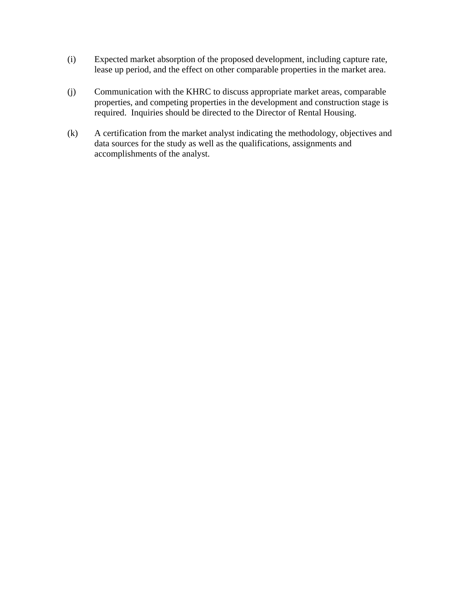- (i) Expected market absorption of the proposed development, including capture rate, lease up period, and the effect on other comparable properties in the market area.
- (j) Communication with the KHRC to discuss appropriate market areas, comparable properties, and competing properties in the development and construction stage is required. Inquiries should be directed to the Director of Rental Housing.
- (k) A certification from the market analyst indicating the methodology, objectives and data sources for the study as well as the qualifications, assignments and accomplishments of the analyst.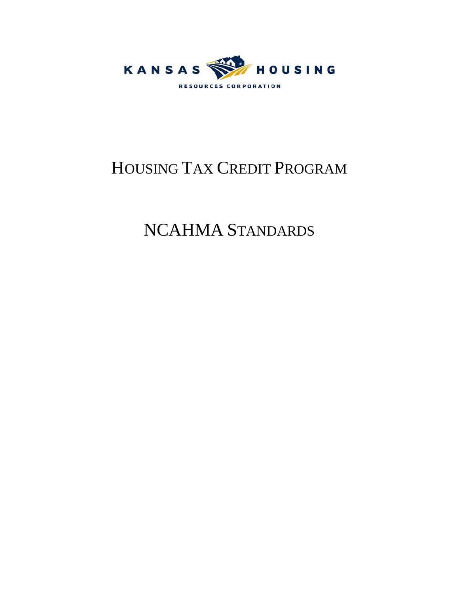

# HOUSING TAX CREDIT PROGRAM

# NCAHMA STANDARDS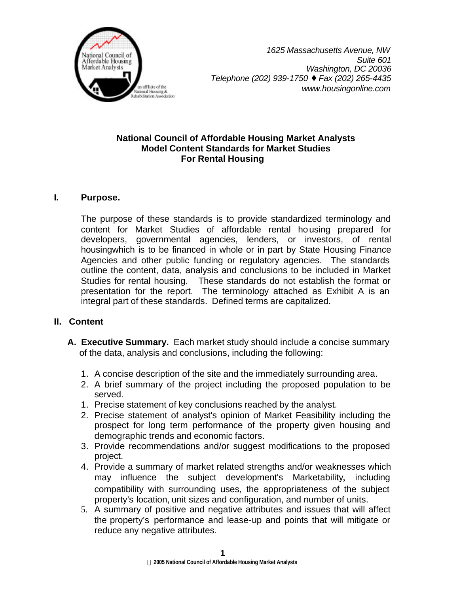

## **National Council of Affordable Housing Market Analysts Model Content Standards for Market Studies For Rental Housing**

# **I. Purpose.**

The purpose of these standards is to provide standardized terminology and content for Market Studies of affordable rental housing prepared for developers, governmental agencies, lenders, or investors, of rental housingwhich is to be financed in whole or in part by State Housing Finance Agencies and other public funding or regulatory agencies. The standards outline the content, data, analysis and conclusions to be included in Market Studies for rental housing. These standards do not establish the format or presentation for the report. The terminology attached as Exhibit A is an integral part of these standards. Defined terms are capitalized.

## **II. Content**

- **A. Executive Summary.** Each market study should include a concise summary of the data, analysis and conclusions, including the following:
	- 1. A concise description of the site and the immediately surrounding area.
	- 2. A brief summary of the project including the proposed population to be served.
	- 1. Precise statement of key conclusions reached by the analyst.
	- 2. Precise statement of analyst's opinion of Market Feasibility including the prospect for long term performance of the property given housing and demographic trends and economic factors.
	- 3. Provide recommendations and/or suggest modifications to the proposed project.
	- 4. Provide a summary of market related strengths and/or weaknesses which may influence the subject development's Marketability, including compatibility with surrounding uses, the appropriateness of the subject property's location, unit sizes and configuration, and number of units.
	- 5. A summary of positive and negative attributes and issues that will affect the property's performance and lease-up and points that will mitigate or reduce any negative attributes.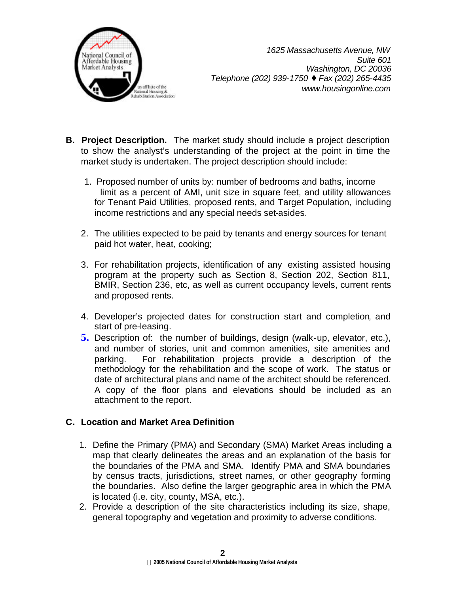

- **B. Project Description.** The market study should include a project description to show the analyst's understanding of the project at the point in time the market study is undertaken. The project description should include:
	- 1. Proposed number of units by: number of bedrooms and baths, income limit as a percent of AMI, unit size in square feet, and utility allowances for Tenant Paid Utilities, proposed rents, and Target Population, including income restrictions and any special needs set-asides.
	- 2. The utilities expected to be paid by tenants and energy sources for tenant paid hot water, heat, cooking;
	- 3. For rehabilitation projects, identification of any existing assisted housing program at the property such as Section 8, Section 202, Section 811, BMIR, Section 236, etc, as well as current occupancy levels, current rents and proposed rents.
	- 4. Developer's projected dates for construction start and completion, and start of pre-leasing.
	- **5.** Description of: the number of buildings, design (walk-up, elevator, etc.), and number of stories, unit and common amenities, site amenities and parking. For rehabilitation projects provide a description of the methodology for the rehabilitation and the scope of work. The status or date of architectural plans and name of the architect should be referenced. A copy of the floor plans and elevations should be included as an attachment to the report.

# **C. Location and Market Area Definition**

- 1. Define the Primary (PMA) and Secondary (SMA) Market Areas including a map that clearly delineates the areas and an explanation of the basis for the boundaries of the PMA and SMA. Identify PMA and SMA boundaries by census tracts, jurisdictions, street names, or other geography forming the boundaries. Also define the larger geographic area in which the PMA is located (i.e. city, county, MSA, etc.).
- 2. Provide a description of the site characteristics including its size, shape, general topography and vegetation and proximity to adverse conditions.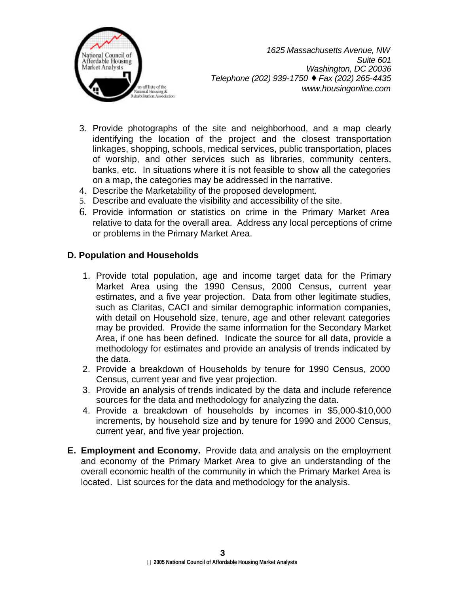

- 3. Provide photographs of the site and neighborhood, and a map clearly identifying the location of the project and the closest transportation linkages, shopping, schools, medical services, public transportation, places of worship, and other services such as libraries, community centers, banks, etc. In situations where it is not feasible to show all the categories on a map, the categories may be addressed in the narrative.
- 4. Describe the Marketability of the proposed development.
- 5. Describe and evaluate the visibility and accessibility of the site.
- 6. Provide information or statistics on crime in the Primary Market Area relative to data for the overall area. Address any local perceptions of crime or problems in the Primary Market Area.

# **D. Population and Households**

- 1. Provide total population, age and income target data for the Primary Market Area using the 1990 Census, 2000 Census, current year estimates, and a five year projection. Data from other legitimate studies, such as Claritas, CACI and similar demographic information companies, with detail on Household size, tenure, age and other relevant categories may be provided. Provide the same information for the Secondary Market Area, if one has been defined. Indicate the source for all data, provide a methodology for estimates and provide an analysis of trends indicated by the data.
- 2. Provide a breakdown of Households by tenure for 1990 Census, 2000 Census, current year and five year projection.
- 3. Provide an analysis of trends indicated by the data and include reference sources for the data and methodology for analyzing the data.
- 4. Provide a breakdown of households by incomes in \$5,000-\$10,000 increments, by household size and by tenure for 1990 and 2000 Census, current year, and five year projection.
- **E. Employment and Economy.** Provide data and analysis on the employment and economy of the Primary Market Area to give an understanding of the overall economic health of the community in which the Primary Market Area is located. List sources for the data and methodology for the analysis.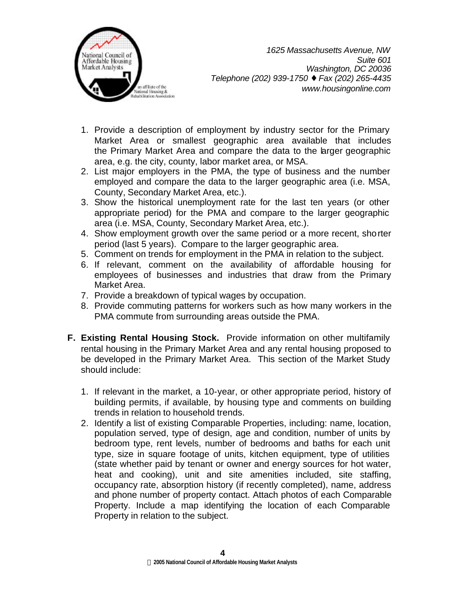

- 1. Provide a description of employment by industry sector for the Primary Market Area or smallest geographic area available that includes the Primary Market Area and compare the data to the larger geographic area, e.g. the city, county, labor market area, or MSA.
- 2. List major employers in the PMA, the type of business and the number employed and compare the data to the larger geographic area (i.e. MSA, County, Secondary Market Area, etc.).
- 3. Show the historical unemployment rate for the last ten years (or other appropriate period) for the PMA and compare to the larger geographic area (i.e. MSA, County, Secondary Market Area, etc.).
- 4. Show employment growth over the same period or a more recent, shorter period (last 5 years). Compare to the larger geographic area.
- 5. Comment on trends for employment in the PMA in relation to the subject.
- 6. If relevant, comment on the availability of affordable housing for employees of businesses and industries that draw from the Primary Market Area.
- 7. Provide a breakdown of typical wages by occupation.
- 8. Provide commuting patterns for workers such as how many workers in the PMA commute from surrounding areas outside the PMA.
- **F. Existing Rental Housing Stock.** Provide information on other multifamily rental housing in the Primary Market Area and any rental housing proposed to be developed in the Primary Market Area. This section of the Market Study should include:
	- 1. If relevant in the market, a 10-year, or other appropriate period, history of building permits, if available, by housing type and comments on building trends in relation to household trends.
	- 2. Identify a list of existing Comparable Properties, including: name, location, population served, type of design, age and condition, number of units by bedroom type, rent levels, number of bedrooms and baths for each unit type, size in square footage of units, kitchen equipment, type of utilities (state whether paid by tenant or owner and energy sources for hot water, heat and cooking), unit and site amenities included, site staffing, occupancy rate, absorption history (if recently completed), name, address and phone number of property contact. Attach photos of each Comparable Property. Include a map identifying the location of each Comparable Property in relation to the subject.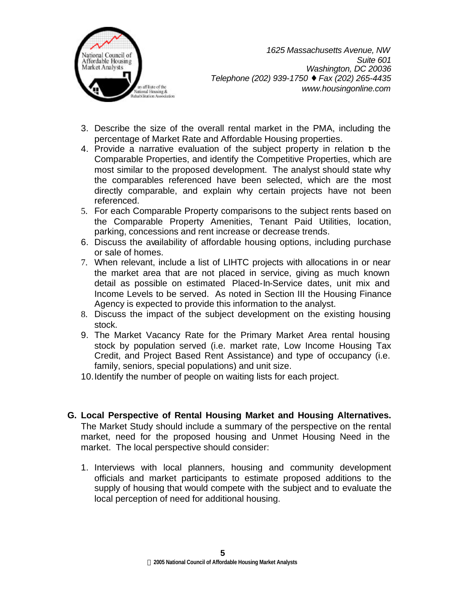

- 3. Describe the size of the overall rental market in the PMA, including the percentage of Market Rate and Affordable Housing properties.
- 4. Provide a narrative evaluation of the subject property in relation b the Comparable Properties, and identify the Competitive Properties, which are most similar to the proposed development. The analyst should state why the comparables referenced have been selected, which are the most directly comparable, and explain why certain projects have not been referenced.
- 5. For each Comparable Property comparisons to the subject rents based on the Comparable Property Amenities, Tenant Paid Utilities, location, parking, concessions and rent increase or decrease trends.
- 6. Discuss the availability of affordable housing options, including purchase or sale of homes.
- 7. When relevant, include a list of LIHTC projects with allocations in or near the market area that are not placed in service, giving as much known detail as possible on estimated Placed-In-Service dates, unit mix and Income Levels to be served. As noted in Section III the Housing Finance Agency is expected to provide this information to the analyst.
- 8. Discuss the impact of the subject development on the existing housing stock.
- 9. The Market Vacancy Rate for the Primary Market Area rental housing stock by population served (i.e. market rate, Low Income Housing Tax Credit, and Project Based Rent Assistance) and type of occupancy (i.e. family, seniors, special populations) and unit size.
- 10.Identify the number of people on waiting lists for each project.
- **G. Local Perspective of Rental Housing Market and Housing Alternatives.** The Market Study should include a summary of the perspective on the rental market, need for the proposed housing and Unmet Housing Need in the market. The local perspective should consider:
	- 1. Interviews with local planners, housing and community development officials and market participants to estimate proposed additions to the supply of housing that would compete with the subject and to evaluate the local perception of need for additional housing.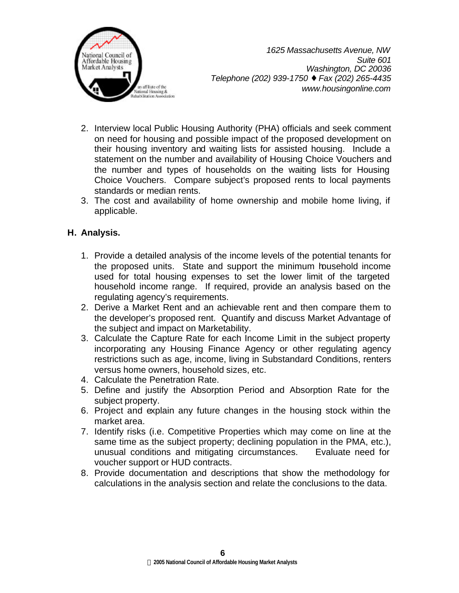

- 2. Interview local Public Housing Authority (PHA) officials and seek comment on need for housing and possible impact of the proposed development on their housing inventory and waiting lists for assisted housing. Include a statement on the number and availability of Housing Choice Vouchers and the number and types of households on the waiting lists for Housing Choice Vouchers. Compare subject's proposed rents to local payments standards or median rents.
- 3. The cost and availability of home ownership and mobile home living, if applicable.

# **H. Analysis.**

- 1. Provide a detailed analysis of the income levels of the potential tenants for the proposed units. State and support the minimum household income used for total housing expenses to set the lower limit of the targeted household income range. If required, provide an analysis based on the regulating agency's requirements.
- 2. Derive a Market Rent and an achievable rent and then compare them to the developer's proposed rent. Quantify and discuss Market Advantage of the subject and impact on Marketability.
- 3. Calculate the Capture Rate for each Income Limit in the subject property incorporating any Housing Finance Agency or other regulating agency restrictions such as age, income, living in Substandard Conditions, renters versus home owners, household sizes, etc.
- 4. Calculate the Penetration Rate.
- 5. Define and justify the Absorption Period and Absorption Rate for the subject property.
- 6. Project and explain any future changes in the housing stock within the market area.
- 7. Identify risks (i.e. Competitive Properties which may come on line at the same time as the subject property; declining population in the PMA, etc.), unusual conditions and mitigating circumstances. Evaluate need for voucher support or HUD contracts.
- 8. Provide documentation and descriptions that show the methodology for calculations in the analysis section and relate the conclusions to the data.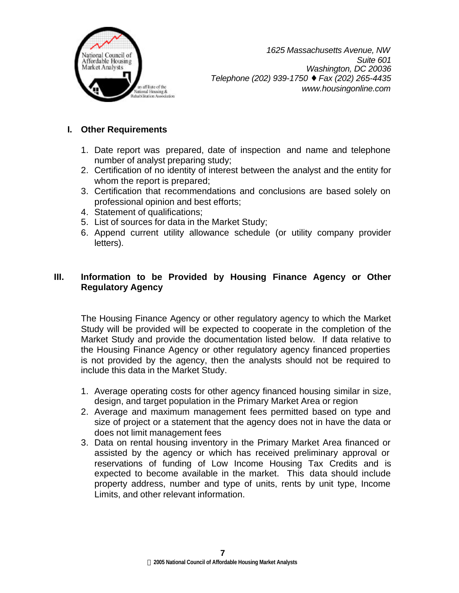

# **I. Other Requirements**

- 1. Date report was prepared, date of inspection and name and telephone number of analyst preparing study;
- 2. Certification of no identity of interest between the analyst and the entity for whom the report is prepared;
- 3. Certification that recommendations and conclusions are based solely on professional opinion and best efforts;
- 4. Statement of qualifications;
- 5. List of sources for data in the Market Study;
- 6. Append current utility allowance schedule (or utility company provider letters).

# **III. Information to be Provided by Housing Finance Agency or Other Regulatory Agency**

The Housing Finance Agency or other regulatory agency to which the Market Study will be provided will be expected to cooperate in the completion of the Market Study and provide the documentation listed below. If data relative to the Housing Finance Agency or other regulatory agency financed properties is not provided by the agency, then the analysts should not be required to include this data in the Market Study.

- 1. Average operating costs for other agency financed housing similar in size, design, and target population in the Primary Market Area or region
- 2. Average and maximum management fees permitted based on type and size of project or a statement that the agency does not in have the data or does not limit management fees
- 3. Data on rental housing inventory in the Primary Market Area financed or assisted by the agency or which has received preliminary approval or reservations of funding of Low Income Housing Tax Credits and is expected to become available in the market. This data should include property address, number and type of units, rents by unit type, Income Limits, and other relevant information.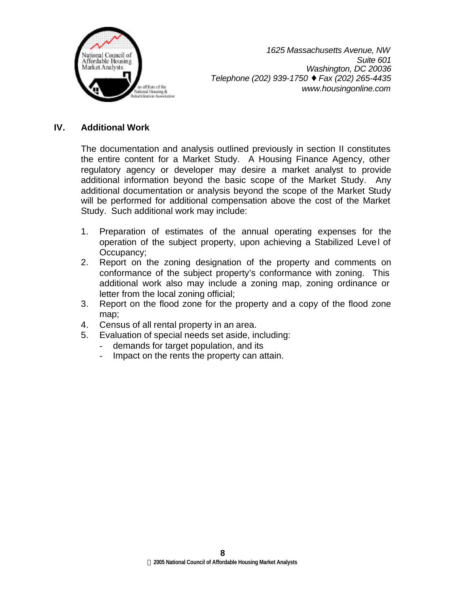

## **IV. Additional Work**

The documentation and analysis outlined previously in section II constitutes the entire content for a Market Study. A Housing Finance Agency, other regulatory agency or developer may desire a market analyst to provide additional information beyond the basic scope of the Market Study. Any additional documentation or analysis beyond the scope of the Market Study will be performed for additional compensation above the cost of the Market Study. Such additional work may include:

- 1. Preparation of estimates of the annual operating expenses for the operation of the subject property, upon achieving a Stabilized Level of Occupancy;
- 2. Report on the zoning designation of the property and comments on conformance of the subject property's conformance with zoning. This additional work also may include a zoning map, zoning ordinance or letter from the local zoning official;
- 3. Report on the flood zone for the property and a copy of the flood zone map;
- 4. Census of all rental property in an area.
- 5. Evaluation of special needs set aside, including:
	- demands for target population, and its
	- Impact on the rents the property can attain.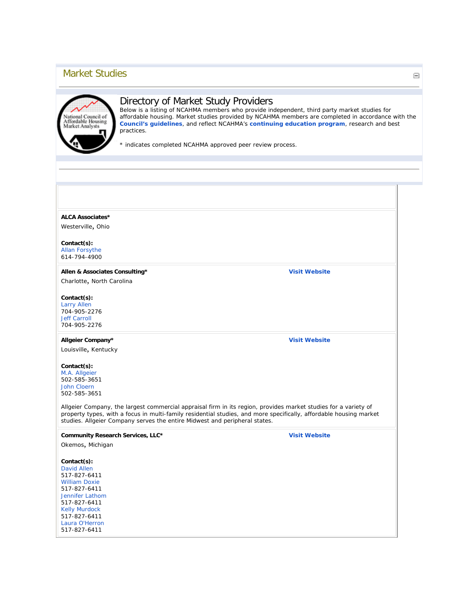# Market Studies



## Directory of Market Study Providers

Below is a listing of NCAHMA members who provide independent, third party market studies for affordable housing. Market studies provided by NCAHMA members are completed in accordance with the **[Council's guidelines](http://www.housingonline.com/Default.aspx?tabid=241)**, and reflect NCAHMA's **[continuing education program](http://www.housingonline.com/Portals/0/CEUs11104.pdf)**, research and best practices.

\* indicates completed NCAHMA approved peer review process.

#### **ALCA Associates\***

Westerville, Ohio

## **Contact(s):**

[Allan Forsythe](mailto:aforsyth@columbus.rr.com) 614-794-4900

## **Allen & Associates Consulting\***

Charlotte, North Carolina

#### **Contact(s):** [Larry Allen](mailto:lallen@allenadvisors.com)

704-905-2276 [Jeff Carroll](mailto:jcarroll@allenadvisors.com) 704-905-2276

## **Allgeier Company\***

Louisville, Kentucky

#### **Contact(s):**

[M.A. Allgeier](mailto:m.a.allgeier@allgeiercompany.com) 502-585-3651 [John Cloern](mailto:jcloern@allgeiercompany.com) 502-585-3651

Allgeier Company, the largest commercial appraisal firm in its region, provides market studies for a variety of property types, with a focus in multi-family residential studies, and more specifically, affordable housing market studies. Allgeier Company serves the entire Midwest and peripheral states.

**Community Research Services, LLC\***

Okemos, Michigan

**Contact(s):** [David Allen](mailto:djallen@cr-services.com) 517-827-6411

[William Doxie](mailto:wdoxie@cr-services.com) 517-827-6411 [Jennifer Lathom](mailto:jlathom@cr-services.com) 517-827-6411 [Kelly Murdock](mailto:kmurdock@cr-services.com) 517-827-6411 [Laura O'Herron](mailto:loherron@cr-services.com) 517-827-6411

**[Visit Website](http://www.cr-services.com/)**

**[Visit Website](http://www.allenadvisors.com/)**

**[Visit Website](http://www.allgeiercompany.com/)**

 $\equiv$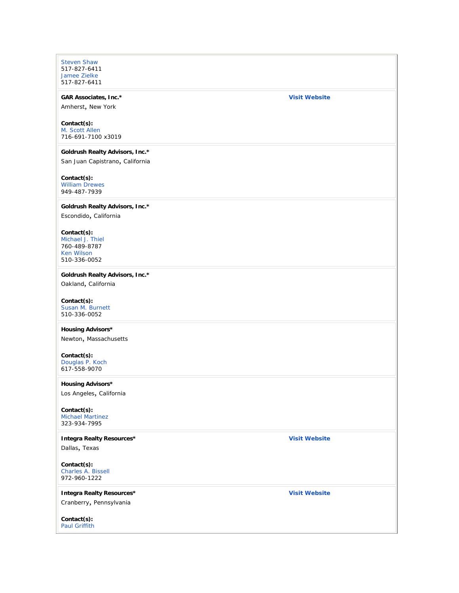[Steven Shaw](mailto:sshaw@cr-services.com) 517-827-6411 [Jamee Zielke](mailto:jzielke@cr-services.com) 517-827-6411

# **GAR Associates, Inc.\***

#### **[Visit Website](http://www.garappraisal.com/)**

Amherst, New York

### **Contact(s):**

[M. Scott Allen](mailto:sallen@garappraisal.com) 716-691-7100 x3019

#### **Goldrush Realty Advisors, Inc.\***

San Juan Capistrano, California

#### **Contact(s):**

[William Drewes](mailto:billdrewes@grai.net) 949-487-7939

#### **Goldrush Realty Advisors, Inc.\***

Escondido, California

#### **Contact(s):**

[Michael J. Thiel](mailto:mikethiel@grai.net) 760-489-8787 Ken Wilson 510-336-0052

#### **Goldrush Realty Advisors, Inc.\***

Oakland, California

#### **Contact(s):** [Susan M. Burnett](mailto:susanburnett@grai.net)

510-336-0052

## **Housing Advisors\***

Newton, Massachusetts

## **Contact(s):**

[Douglas P. Koch](mailto:DKHousingAdvisor@hotmail.com) 617-558-9070

### **Housing Advisors\***

Los Angeles, California

#### **Contact(s):** Michael Martinez 323-934-7995

#### **Integra Realty Resources\***

Dallas, Texas

#### **Contact(s):** [Charles A. Bissell](mailto:cbissell@irr.com) 972-960-1222

**Integra Realty Resources\*** Cranberry, Pennsylvania

#### **Contact(s):** [Paul Griffith](mailto:pgriffith@irr.com)

**[Visit Website](http://www.irr.com/)**

### **[Visit Website](http://www.irr.com/)**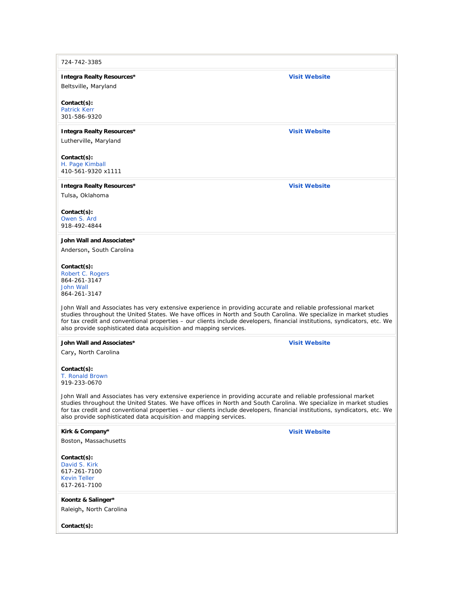724-742-3385

**Integra Realty Resources\***

Beltsville, Maryland

**Contact(s):** [Patrick Kerr](mailto:pkerr@irr.com)

301-586-9320

**Integra Realty Resources\***

Lutherville, Maryland

**Contact(s):** [H. Page Kimball](mailto:pkimball@irr.com) 410-561-9320 x1111

**Integra Realty Resources\***

Tulsa, Oklahoma

**Contact(s):** [Owen S. Ard](mailto:oard@irr.com)

918-492-4844

#### **John Wall and Associates\***

Anderson, South Carolina

#### **Contact(s):**

[Robert C. Rogers](mailto:br@johnwallandassociates.com) 864-261-3147 [John Wall](mailto:jw@johnwallandassociates.com) 864-261-3147

John Wall and Associates has very extensive experience in providing accurate and reliable professional market studies throughout the United States. We have offices in North and South Carolina. We specialize in market studies for tax credit and conventional properties – our clients include developers, financial institutions, syndicators, etc. We also provide sophisticated data acquisition and mapping services.

#### **John Wall and Associates\***

Cary, North Carolina

#### **Contact(s):** [T. Ronald Brown](mailto:trbrown@apartmentmarket.info)

919-233-0670

John Wall and Associates has very extensive experience in providing accurate and reliable professional market studies throughout the United States. We have offices in North and South Carolina. We specialize in market studies for tax credit and conventional properties – our clients include developers, financial institutions, syndicators, etc. We also provide sophisticated data acquisition and mapping services.

| Kirk & Company*         | <b>Visit Website</b> |
|-------------------------|----------------------|
| Boston, Massachusetts   |                      |
| $Context(s)$ :          |                      |
| David S. Kirk           |                      |
| 617-261-7100            |                      |
| <b>Kevin Teller</b>     |                      |
| 617-261-7100            |                      |
| Koontz & Salinger*      |                      |
| Raleigh, North Carolina |                      |
|                         |                      |
| $Context(s)$ :          |                      |

**[Visit Website](http://www.irr.com/)**

**[Visit Website](http://www.irr.com/)**

**[Visit Website](http://www.irr.com/)**

**[Visit Website](http://www.apartmentmarket.info/)**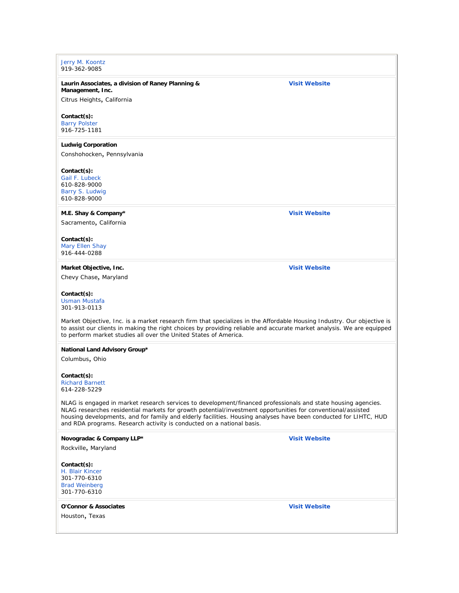## [Jerry M. Koontz](mailto:vonkoontz@aol.com) 919-362-9085 **Laurin Associates, a division of Raney Planning & Management, Inc.** Citrus Heights, California **[Visit Website](http://www.laurinassociates.com/) Contact(s):** [Barry Polster](mailto:barry@laurinassociates.com) 916-725-1181 **Ludwig Corporation** Conshohocken, Pennsylvania **Contact(s):** [Gail F. Lubeck](mailto:gfl@e-ludwig.com) 610-828-9000 [Barry S. Ludwig](mailto:bsl@e-ludwig.com) 610-828-9000 **M.E. Shay & Company\*** Sacramento, California **[Visit Website](http://www.meshayco.com/) Contact(s):** [Mary Ellen Shay](mailto:meshayco@earthlink.net) 916-444-0288 **Market Objective, Inc.** Chevy Chase, Maryland **[Visit Website](http://www.marketobjective.com/) Contact(s):** [Usman Mustafa](mailto:usman@marketobjective.com) 301-913-0113 Market Objective, Inc. is a market research firm that specializes in the Affordable Housing Industry. Our objective is to assist our clients in making the right choices by providing reliable and accurate market analysis. We are equipped to perform market studies all over the United States of America. **National Land Advisory Group\*** Columbus, Ohio **Contact(s):** [Richard Barnett](mailto:rbarnett@landadvisory.biz) 614-228-5229 NLAG is engaged in market research services to development/financed professionals and state housing agencies. NLAG researches residential markets for growth potential/investment opportunities for conventional/assisted housing developments, and for family and elderly facilities. Housing analyses have been conducted for LIHTC, HUD and RDA programs. Research activity is conducted on a national basis. **Novogradac & Company LLP\*** Rockville, Maryland **[Visit Website](http://www.taxcredithousing.com/) Contact(s):** [H. Blair Kincer](mailto:blair.kincer@novoco.com) 301-770-6310 [Brad Weinberg](mailto:brad.weinberg@novoco.com) 301-770-6310 **O'Connor & Associates** Houston, Texas **[Visit Website](http://www.poconnor.com/)**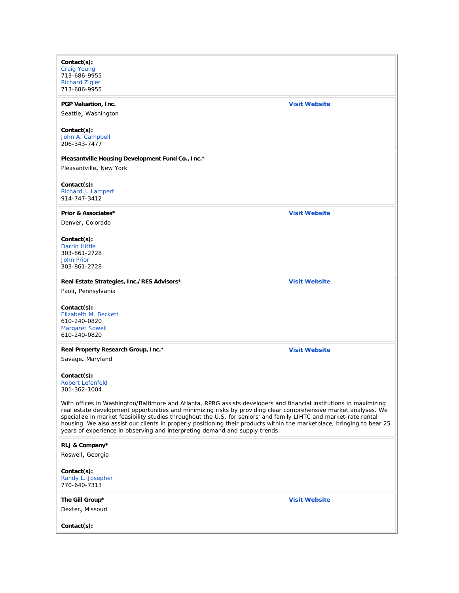| Contact(s):                                                                                                            |                      |
|------------------------------------------------------------------------------------------------------------------------|----------------------|
| <b>Craig Young</b>                                                                                                     |                      |
| 713-686-9955                                                                                                           |                      |
| <b>Richard Zigler</b>                                                                                                  |                      |
| 713-686-9955                                                                                                           |                      |
| PGP Valuation, Inc.                                                                                                    | <b>Visit Website</b> |
| Seattle, Washington                                                                                                    |                      |
|                                                                                                                        |                      |
|                                                                                                                        |                      |
| Contact(s):                                                                                                            |                      |
| John A. Campbell<br>206-343-7477                                                                                       |                      |
|                                                                                                                        |                      |
| Pleasantville Housing Development Fund Co., Inc.*                                                                      |                      |
| Pleasantville, New York                                                                                                |                      |
|                                                                                                                        |                      |
|                                                                                                                        |                      |
| Contact(s):                                                                                                            |                      |
| Richard J. Lampert                                                                                                     |                      |
| 914-747-3412                                                                                                           |                      |
| Prior & Associates*                                                                                                    | <b>Visit Website</b> |
|                                                                                                                        |                      |
| Denver, Colorado                                                                                                       |                      |
|                                                                                                                        |                      |
| Contact(s):                                                                                                            |                      |
| <b>Darrin Hittle</b>                                                                                                   |                      |
| 303-861-2728                                                                                                           |                      |
| <b>John Prior</b>                                                                                                      |                      |
| 303-861-2728                                                                                                           |                      |
|                                                                                                                        | <b>Visit Website</b> |
| Real Estate Strategies, Inc./RES Advisors*                                                                             |                      |
| Paoli, Pennsylvania                                                                                                    |                      |
|                                                                                                                        |                      |
| Contact(s):                                                                                                            |                      |
| Elizabeth M. Beckett                                                                                                   |                      |
| 610-240-0820                                                                                                           |                      |
| <b>Margaret Sowell</b>                                                                                                 |                      |
| 610-240-0820                                                                                                           |                      |
| Real Property Research Group, Inc.*                                                                                    | <b>Visit Website</b> |
|                                                                                                                        |                      |
| Savage, Maryland                                                                                                       |                      |
|                                                                                                                        |                      |
| Contact(s):                                                                                                            |                      |
| <b>Robert Lefenfeld</b>                                                                                                |                      |
| 301-362-1004                                                                                                           |                      |
| With offices in Washington/Baltimore and Atlanta, RPRG assists developers and financial institutions in maximizing     |                      |
| real estate development opportunities and minimizing risks by providing clear comprehensive market analyses. We        |                      |
| specialize in market feasibility studies throughout the U.S. for seniors' and family LIHTC and market-rate rental      |                      |
| housing. We also assist our clients in properly positioning their products within the marketplace, bringing to bear 25 |                      |
| years of experience in observing and interpreting demand and supply trends.                                            |                      |
|                                                                                                                        |                      |
| RLJ & Company*                                                                                                         |                      |
| Roswell, Georgia                                                                                                       |                      |
|                                                                                                                        |                      |
| Contact(s):                                                                                                            |                      |
| Randy L. Josepher                                                                                                      |                      |
| 770-640-7313                                                                                                           |                      |
|                                                                                                                        |                      |
| The Gill Group*                                                                                                        | <b>Visit Website</b> |
|                                                                                                                        |                      |
| Dexter, Missouri                                                                                                       |                      |
|                                                                                                                        |                      |
| Contact(s):                                                                                                            |                      |
|                                                                                                                        |                      |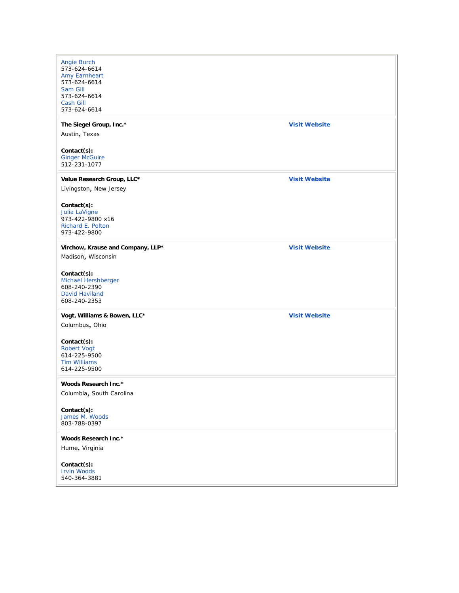| <b>Angie Burch</b>                   |                      |
|--------------------------------------|----------------------|
| 573-624-6614                         |                      |
| <b>Amy Earnheart</b><br>573-624-6614 |                      |
| Sam Gill                             |                      |
| 573-624-6614                         |                      |
| <b>Cash Gill</b>                     |                      |
| 573-624-6614                         |                      |
| The Siegel Group, Inc.*              | <b>Visit Website</b> |
| Austin, Texas                        |                      |
| Contact(s):                          |                      |
| <b>Ginger McGuire</b>                |                      |
| 512-231-1077                         |                      |
| Value Research Group, LLC*           | <b>Visit Website</b> |
|                                      |                      |
| Livingston, New Jersey               |                      |
| Contact(s):                          |                      |
| Julia LaVigne                        |                      |
| 973-422-9800 x16                     |                      |
| Richard E. Polton                    |                      |
| 973-422-9800                         |                      |
| Virchow, Krause and Company, LLP*    | <b>Visit Website</b> |
| Madison, Wisconsin                   |                      |
| Contact(s):                          |                      |
| Michael Hershberger                  |                      |
| 608-240-2390                         |                      |
| <b>David Haviland</b>                |                      |
| 608-240-2353                         |                      |
| Vogt, Williams & Bowen, LLC*         | <b>Visit Website</b> |
| Columbus, Ohio                       |                      |
|                                      |                      |
| Contact(s):                          |                      |
| <b>Robert Vogt</b><br>614-225-9500   |                      |
| <b>Tim Williams</b>                  |                      |
| 614-225-9500                         |                      |
| <b>Woods Research Inc.*</b>          |                      |
| Columbia, South Carolina             |                      |
|                                      |                      |
| Contact(s):<br>James M. Woods        |                      |
| 803-788-0397                         |                      |
|                                      |                      |
| Woods Research Inc.*                 |                      |
| Hume, Virginia                       |                      |
| Contact(s):                          |                      |
| <b>Irvin Woods</b>                   |                      |
| 540-364-3881                         |                      |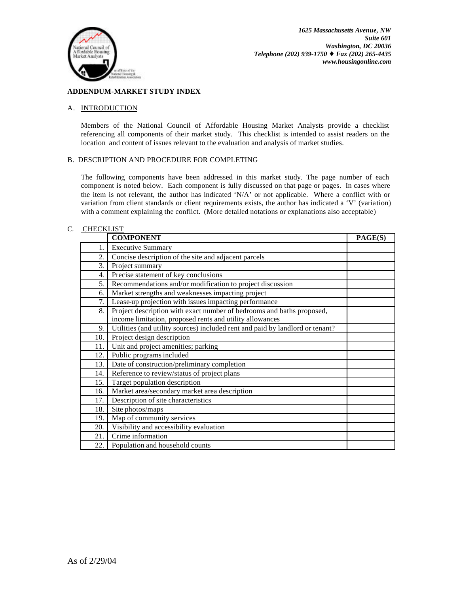

## **ADDENDUM-MARKET STUDY INDEX**

### A. INTRODUCTION

Members of the National Council of Affordable Housing Market Analysts provide a checklist referencing all components of their market study. This checklist is intended to assist readers on the location and content of issues relevant to the evaluation and analysis of market studies.

### B. DESCRIPTION AND PROCEDURE FOR COMPLETING

The following components have been addressed in this market study. The page number of each component is noted below. Each component is fully discussed on that page or pages. In cases where the item is not relevant, the author has indicated 'N/A' or not applicable. Where a conflict with or variation from client standards or client requirements exists, the author has indicated a 'V' (variation) with a comment explaining the conflict. (More detailed notations or explanations also acceptable)

### C. CHECKLIST

|     | <b>COMPONENT</b>                                                              | PAGE(S) |
|-----|-------------------------------------------------------------------------------|---------|
| 1.  | <b>Executive Summary</b>                                                      |         |
| 2.  | Concise description of the site and adjacent parcels                          |         |
| 3.  | Project summary                                                               |         |
| 4.  | Precise statement of key conclusions                                          |         |
| 5.  | Recommendations and/or modification to project discussion                     |         |
| 6.  | Market strengths and weaknesses impacting project                             |         |
| 7.  | Lease-up projection with issues impacting performance                         |         |
| 8.  | Project description with exact number of bedrooms and baths proposed,         |         |
|     | income limitation, proposed rents and utility allowances                      |         |
| 9.  | Utilities (and utility sources) included rent and paid by landlord or tenant? |         |
| 10. | Project design description                                                    |         |
| 11. | Unit and project amenities; parking                                           |         |
| 12. | Public programs included                                                      |         |
| 13. | Date of construction/preliminary completion                                   |         |
| 14. | Reference to review/status of project plans                                   |         |
| 15. | Target population description                                                 |         |
| 16. | Market area/secondary market area description                                 |         |
| 17. | Description of site characteristics                                           |         |
| 18. | Site photos/maps                                                              |         |
| 19. | Map of community services                                                     |         |
| 20. | Visibility and accessibility evaluation                                       |         |
| 21. | Crime information                                                             |         |
| 22. | Population and household counts                                               |         |